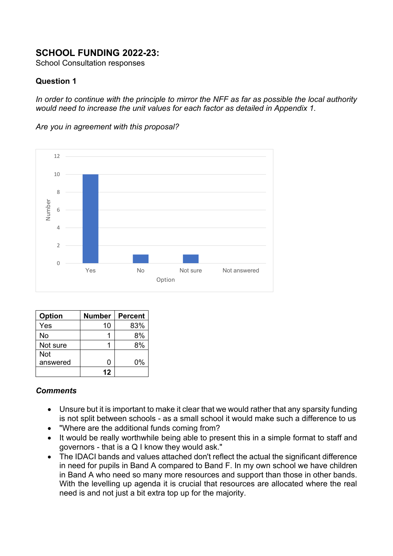# **SCHOOL FUNDING 2022-23:**

School Consultation responses

### **Question 1**

*In order to continue with the principle to mirror the NFF as far as possible the local authority would need to increase the unit values for each factor as detailed in Appendix 1.* 

*Are you in agreement with this proposal?* 



| Option   | <b>Number</b> | <b>Percent</b> |
|----------|---------------|----------------|
| Yes      | 10            | 83%            |
| No       |               | 8%             |
| Not sure |               | 8%             |
| Not      |               |                |
| answered | ი             | 0%             |
|          | 12            |                |

#### *Comments*

- Unsure but it is important to make it clear that we would rather that any sparsity funding is not split between schools - as a small school it would make such a difference to us
- "Where are the additional funds coming from?
- It would be really worthwhile being able to present this in a simple format to staff and governors - that is a Q I know they would ask."
- The IDACI bands and values attached don't reflect the actual the significant difference in need for pupils in Band A compared to Band F. In my own school we have children in Band A who need so many more resources and support than those in other bands. With the levelling up agenda it is crucial that resources are allocated where the real need is and not just a bit extra top up for the majority.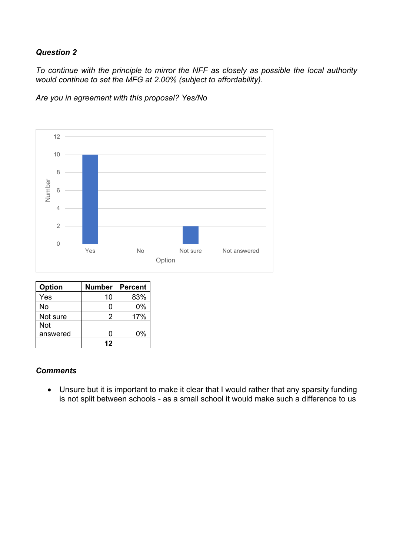*To continue with the principle to mirror the NFF as closely as possible the local authority would continue to set the MFG at 2.00% (subject to affordability).*

*Are you in agreement with this proposal? Yes/No*



| <b>Option</b> | <b>Number</b> | <b>Percent</b> |
|---------------|---------------|----------------|
| Yes           | 10            | 83%            |
| No            |               | 0%             |
| Not sure      | 2             | 17%            |
| <b>Not</b>    |               |                |
| answered      |               | 0%             |
|               | 12            |                |

#### *Comments*

• Unsure but it is important to make it clear that I would rather that any sparsity funding is not split between schools - as a small school it would make such a difference to us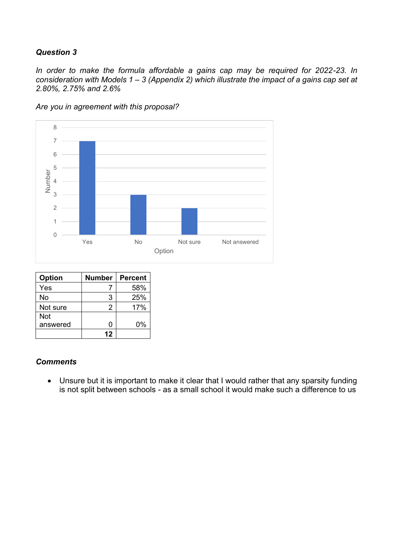*In order to make the formula affordable a gains cap may be required for 2022-23. In consideration with Models 1 – 3 (Appendix 2) which illustrate the impact of a gains cap set at 2.80%, 2.75% and 2.6%*



*Are you in agreement with this proposal?*

| <b>Option</b> | <b>Number</b> | Percent |
|---------------|---------------|---------|
| Yes           |               | 58%     |
| No            | 3             | 25%     |
| Not sure      | 2             | 17%     |
| Not           |               |         |
| answered      | O             | 0%      |
|               | 12            |         |

#### *Comments*

• Unsure but it is important to make it clear that I would rather that any sparsity funding is not split between schools - as a small school it would make such a difference to us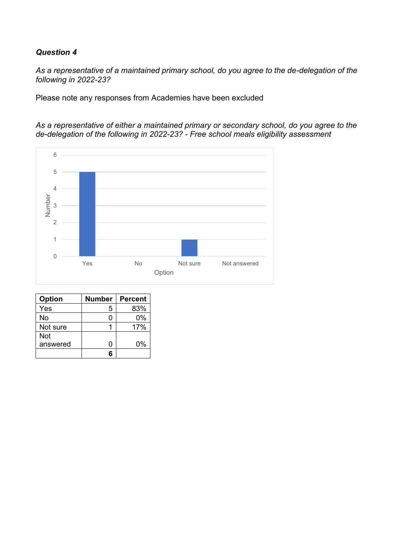*As a representative of a maintained primary school, do you agree to the de-delegation of the following in 2022-23?*

Please note any responses from Academies have been excluded

*As a representative of either a maintained primary or secondary school, do you agree to the de-delegation of the following in 2022-23? - Free school meals eligibility assessment*



| <b>Option</b> | <b>Number</b> | <b>Percent</b> |
|---------------|---------------|----------------|
| Yes           | 5             | 83%            |
| No            | П             | 0%             |
| Not sure      |               | 17%            |
| Not           |               |                |
| answered      | ი             | 0%             |
|               | 6             |                |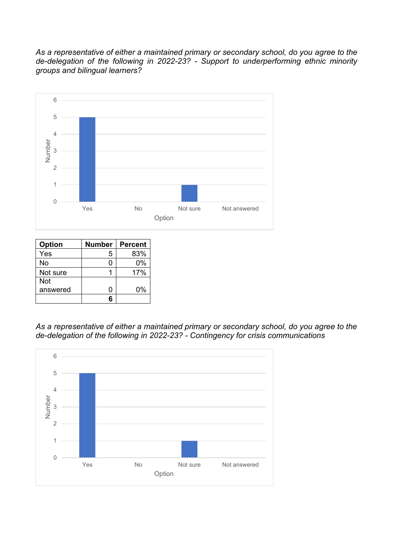*As a representative of either a maintained primary or secondary school, do you agree to the de-delegation of the following in 2022-23? - Support to underperforming ethnic minority groups and bilingual learners?*



| Option   | <b>Number</b> | <b>Percent</b> |
|----------|---------------|----------------|
| Yes      | 5             | 83%            |
| No       |               | $0\%$          |
| Not sure |               | 17%            |
| Not      |               |                |
| answered | ∩             | 0%             |
|          |               |                |

*As a representative of either a maintained primary or secondary school, do you agree to the de-delegation of the following in 2022-23? - Contingency for crisis communications*

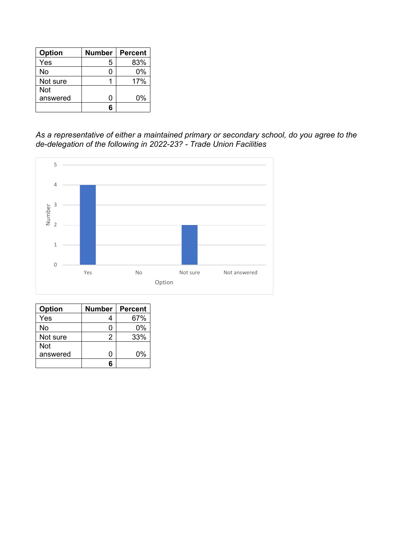| <b>Option</b> | <b>Number</b> | <b>Percent</b> |
|---------------|---------------|----------------|
| Yes           | 5             | 83%            |
| No            |               | 0%             |
| Not sure      |               | 17%            |
| <b>Not</b>    |               |                |
| answered      | ∩             | 0%             |
|               |               |                |

*As a representative of either a maintained primary or secondary school, do you agree to the de-delegation of the following in 2022-23? - Trade Union Facilities*



| <b>Option</b> | <b>Number</b> | <b>Percent</b> |
|---------------|---------------|----------------|
| Yes           |               | 67%            |
| No            |               | 0%             |
| Not sure      | 2             | 33%            |
| <b>Not</b>    |               |                |
| answered      | n             | 0%             |
|               |               |                |